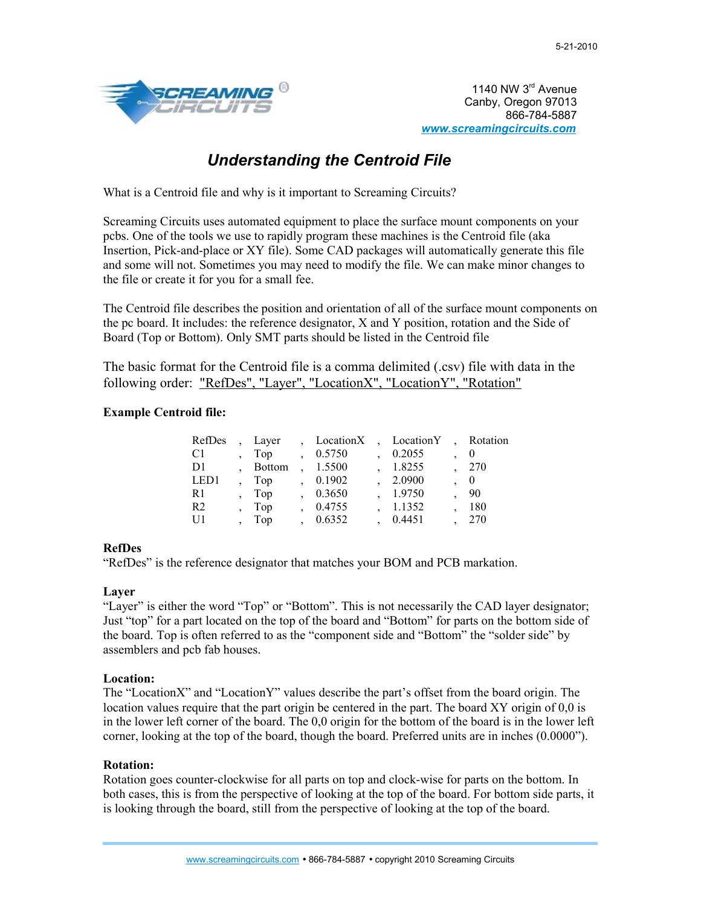

1140 NW 3rd Avenue Canby, Oregon 97013 866-784-5887 *[www.screamingcircuits.com](file:///C:/Documents and Settings/dbenson/My Documents/White papers/www.screamingcircuits.com)*

# *Understanding the Centroid File*

What is a Centroid file and why is it important to Screaming Circuits?

Screaming Circuits uses automated equipment to place the surface mount components on your pcbs. One of the tools we use to rapidly program these machines is the Centroid file (aka Insertion, Pick-and-place or XY file). Some CAD packages will automatically generate this file and some will not. Sometimes you may need to modify the file. We can make minor changes to the file or create it for you for a small fee.

The Centroid file describes the position and orientation of all of the surface mount components on the pc board. It includes: the reference designator, X and Y position, rotation and the Side of Board (Top or Bottom). Only SMT parts should be listed in the Centroid file

The basic format for the Centroid file is a comma delimited (.csv) file with data in the following order: "RefDes", "Layer", "LocationX", "LocationY", "Rotation"

# **Example Centroid file:**

| RefDes         | Layer  | LocationX | LocationY | Rotation                 |
|----------------|--------|-----------|-----------|--------------------------|
| C <sub>1</sub> | Top    | 0.5750    | 0.2055    | -0                       |
| D1             | Bottom | 1.5500    | 1.8255    | 270                      |
| LED1           | Top    | 0.1902    | 2.0900    | $\overline{\phantom{0}}$ |
| R1             | Top    | 0.3650    | 1.9750    | - 90                     |
| R <sub>2</sub> | Top    | 0.4755    | 1.1352    | 180                      |
| U1             | Top    | 0.6352    | 0.4451    | 270                      |

# **RefDes**

"RefDes" is the reference designator that matches your BOM and PCB markation.

# **Layer**

"Layer" is either the word "Top" or "Bottom". This is not necessarily the CAD layer designator; Just "top" for a part located on the top of the board and "Bottom" for parts on the bottom side of the board. Top is often referred to as the "component side and "Bottom" the "solder side" by assemblers and pcb fab houses.

# **Location:**

The "LocationX" and "LocationY" values describe the part's offset from the board origin. The location values require that the part origin be centered in the part. The board XY origin of 0,0 is in the lower left corner of the board. The 0,0 origin for the bottom of the board is in the lower left corner, looking at the top of the board, though the board. Preferred units are in inches (0.0000").

# **Rotation:**

Rotation goes counter-clockwise for all parts on top and clock-wise for parts on the bottom. In both cases, this is from the perspective of looking at the top of the board. For bottom side parts, it is looking through the board, still from the perspective of looking at the top of the board.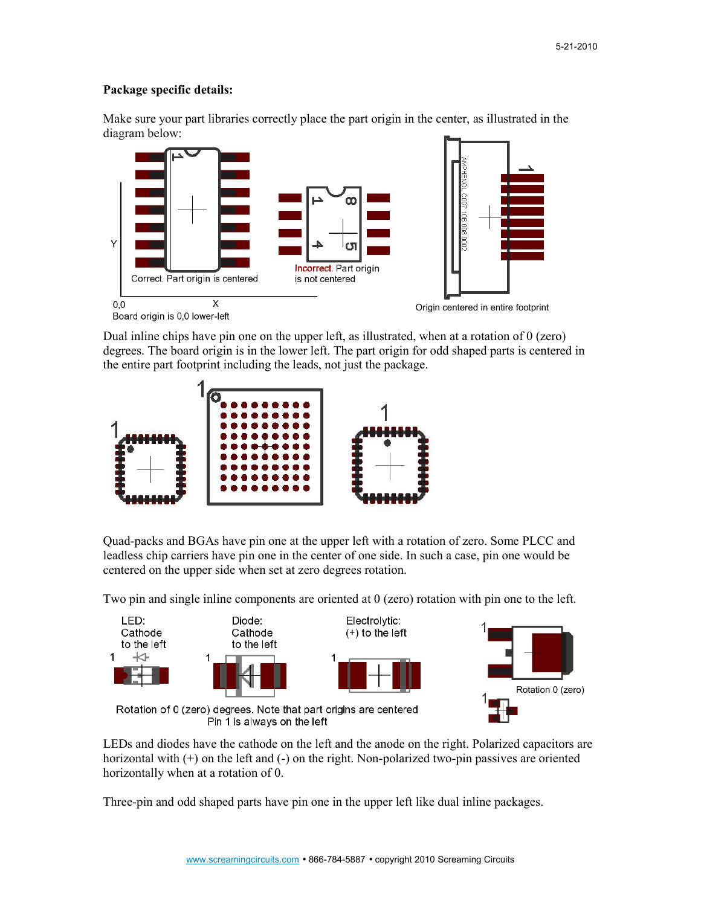#### **Package specific details:**

Make sure your part libraries correctly place the part origin in the center, as illustrated in the diagram below:



Dual inline chips have pin one on the upper left, as illustrated, when at a rotation of 0 (zero) degrees. The board origin is in the lower left. The part origin for odd shaped parts is centered in the entire part footprint including the leads, not just the package.



Quad-packs and BGAs have pin one at the upper left with a rotation of zero. Some PLCC and leadless chip carriers have pin one in the center of one side. In such a case, pin one would be centered on the upper side when set at zero degrees rotation.

Two pin and single inline components are oriented at 0 (zero) rotation with pin one to the left.



LEDs and diodes have the cathode on the left and the anode on the right. Polarized capacitors are horizontal with (+) on the left and (-) on the right. Non-polarized two-pin passives are oriented horizontally when at a rotation of 0.

Three-pin and odd shaped parts have pin one in the upper left like dual inline packages.